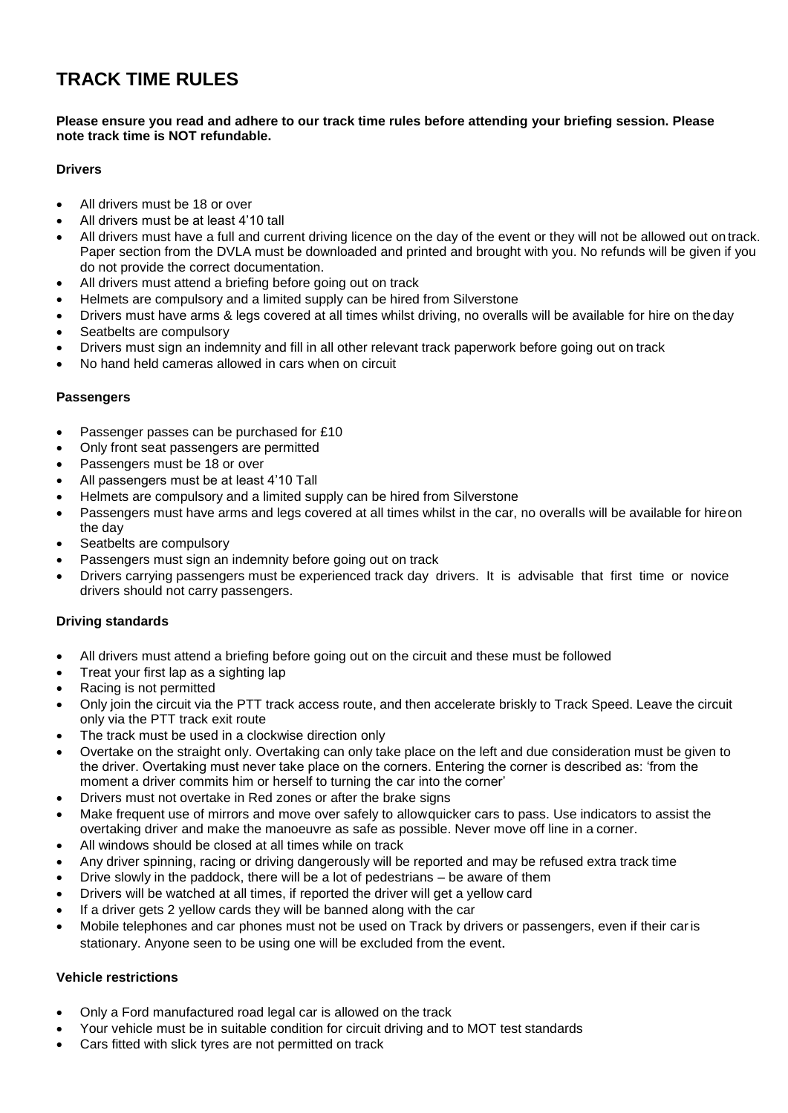# **TRACK TIME RULES**

#### **Please ensure you read and adhere to our track time rules before attending your briefing session. Please note track time is NOT refundable.**

# **Drivers**

- All drivers must be 18 or over
- All drivers must be at least 4'10 tall
- All drivers must have a full and current driving licence on the day of the event or they will not be allowed out on track. Paper section from the DVLA must be downloaded and printed and brought with you. No refunds will be given if you do not provide the correct documentation.
- All drivers must attend a briefing before going out on track
- Helmets are compulsory and a limited supply can be hired from Silverstone
- Drivers must have arms & legs covered at all times whilst driving, no overalls will be available for hire on theday
- Seatbelts are compulsory
- Drivers must sign an indemnity and fill in all other relevant track paperwork before going out on track
- No hand held cameras allowed in cars when on circuit

# **Passengers**

- Passenger passes can be purchased for £10
- Only front seat passengers are permitted
- Passengers must be 18 or over
- All passengers must be at least 4'10 Tall
- Helmets are compulsory and a limited supply can be hired from Silverstone
- Passengers must have arms and legs covered at all times whilst in the car, no overalls will be available for hireon the day
- Seatbelts are compulsory
- Passengers must sign an indemnity before going out on track
- Drivers carrying passengers must be experienced track day drivers. It is advisable that first time or novice drivers should not carry passengers.

## **Driving standards**

- All drivers must attend a briefing before going out on the circuit and these must be followed
- Treat your first lap as a sighting lap
- Racing is not permitted
- Only join the circuit via the PTT track access route, and then accelerate briskly to Track Speed. Leave the circuit only via the PTT track exit route
- The track must be used in a clockwise direction only
- Overtake on the straight only. Overtaking can only take place on the left and due consideration must be given to the driver. Overtaking must never take place on the corners. Entering the corner is described as: 'from the moment a driver commits him or herself to turning the car into the corner'
- Drivers must not overtake in Red zones or after the brake signs
- Make frequent use of mirrors and move over safely to allowquicker cars to pass. Use indicators to assist the overtaking driver and make the manoeuvre as safe as possible. Never move off line in a corner.
- All windows should be closed at all times while on track
- Any driver spinning, racing or driving dangerously will be reported and may be refused extra track time
- Drive slowly in the paddock, there will be a lot of pedestrians be aware of them
- Drivers will be watched at all times, if reported the driver will get a yellow card
- If a driver gets 2 yellow cards they will be banned along with the car
- Mobile telephones and car phones must not be used on Track by drivers or passengers, even if their caris stationary. Anyone seen to be using one will be excluded from the event.

# **Vehicle restrictions**

- Only a Ford manufactured road legal car is allowed on the track
- Your vehicle must be in suitable condition for circuit driving and to MOT test standards
- Cars fitted with slick tyres are not permitted on track